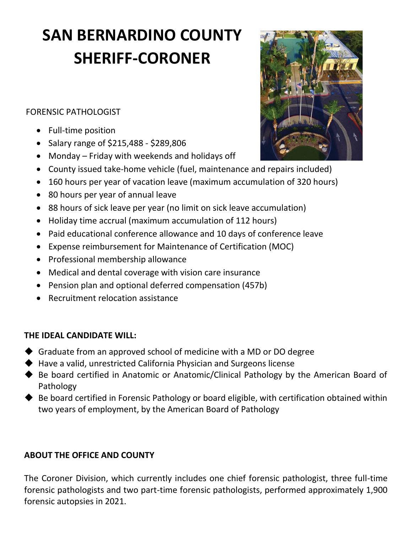## **SAN BERNARDINO COUNTY SHERIFF-CORONER**

FORENSIC PATHOLOGIST

- Full-time position
- Salary range of \$215,488 \$289,806
- Monday Friday with weekends and holidays off
- County issued take-home vehicle (fuel, maintenance and repairs included)
- 160 hours per year of vacation leave (maximum accumulation of 320 hours)
- 80 hours per year of annual leave
- 88 hours of sick leave per year (no limit on sick leave accumulation)
- Holiday time accrual (maximum accumulation of 112 hours)
- Paid educational conference allowance and 10 days of conference leave
- Expense reimbursement for Maintenance of Certification (MOC)
- Professional membership allowance
- Medical and dental coverage with vision care insurance
- Pension plan and optional deferred compensation (457b)
- Recruitment relocation assistance

## **THE IDEAL CANDIDATE WILL:**

- ◆ Graduate from an approved school of medicine with a MD or DO degree
- ◆ Have a valid, unrestricted California Physician and Surgeons license
- ◆ Be board certified in Anatomic or Anatomic/Clinical Pathology by the American Board of Pathology
- ◆ Be board certified in Forensic Pathology or board eligible, with certification obtained within two years of employment, by the American Board of Pathology

## **ABOUT THE OFFICE AND COUNTY**

The Coroner Division, which currently includes one chief forensic pathologist, three full-time forensic pathologists and two part-time forensic pathologists, performed approximately 1,900 forensic autopsies in 2021.